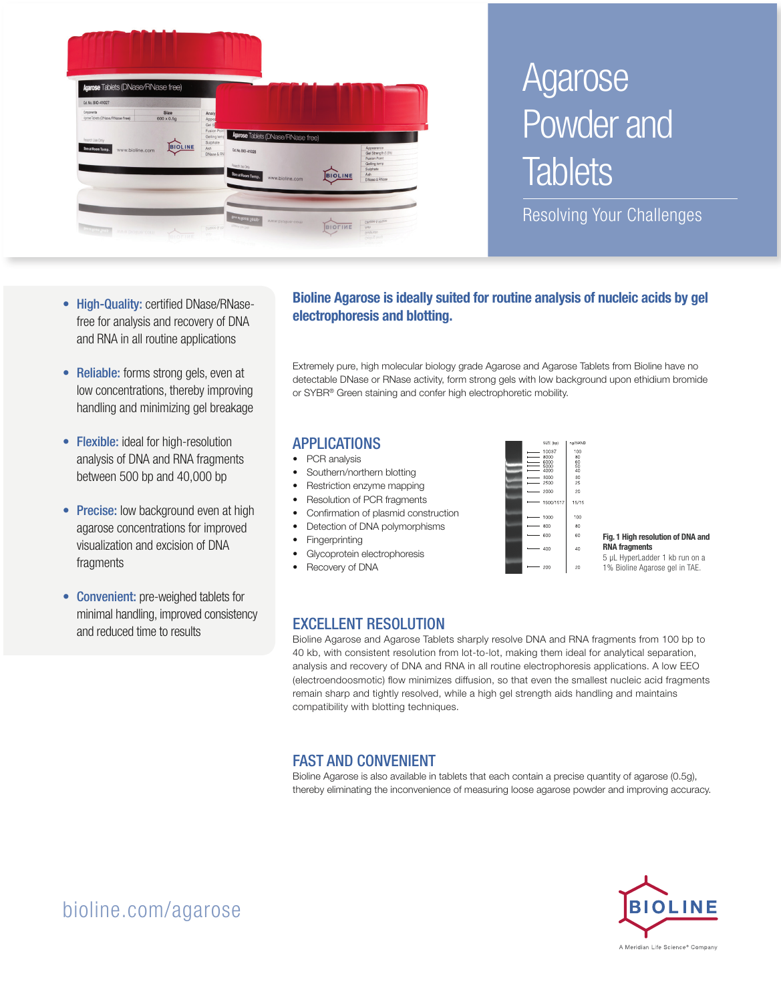

# Agarose Powder and **Tablets**

Resolving Your Challenges

- High-Quality: certified DNase/RNasefree for analysis and recovery of DNA and RNA in all routine applications
- Reliable: forms strong gels, even at low concentrations, thereby improving handling and minimizing gel breakage
- Flexible: ideal for high-resolution analysis of DNA and RNA fragments between 500 bp and 40,000 bp
- Precise: low background even at high agarose concentrations for improved visualization and excision of DNA fragments
- Convenient: pre-weighed tablets for minimal handling, improved consistency and reduced time to results

#### Bioline Agarose is ideally suited for routine analysis of nucleic acids by gel electrophoresis and blotting.

Extremely pure, high molecular biology grade Agarose and Agarose Tablets from Bioline have no detectable DNase or RNase activity, form strong gels with low background upon ethidium bromide or SYBR® Green staining and confer high electrophoretic mobility.

#### APPLICATIONS

- PCR analysis
- Southern/northern blotting
- Restriction enzyme mapping
- Resolution of PCR fragments
- Confirmation of plasmid construction
- Detection of DNA polymorphisms
- **Fingerprinting**
- Glycoprotein electrophoresis Recovery of DNA



Fig. 1 High resolution of DNA and RNA fragments 5 µL HyperLadder 1 kb run on a

1% Bioline Agarose gel in TAE.

## EXCELLENT RESOLUTION

Bioline Agarose and Agarose Tablets sharply resolve DNA and RNA fragments from 100 bp to 40 kb, with consistent resolution from lot-to-lot, making them ideal for analytical separation, analysis and recovery of DNA and RNA in all routine electrophoresis applications. A low EEO (electroendoosmotic) flow minimizes diffusion, so that even the smallest nucleic acid fragments remain sharp and tightly resolved, while a high gel strength aids handling and maintains compatibility with blotting techniques.

## FAST AND CONVENIENT

Bioline Agarose is also available in tablets that each contain a precise quantity of agarose (0.5g), thereby eliminating the inconvenience of measuring loose agarose powder and improving accuracy.



# bioline.com/agarose